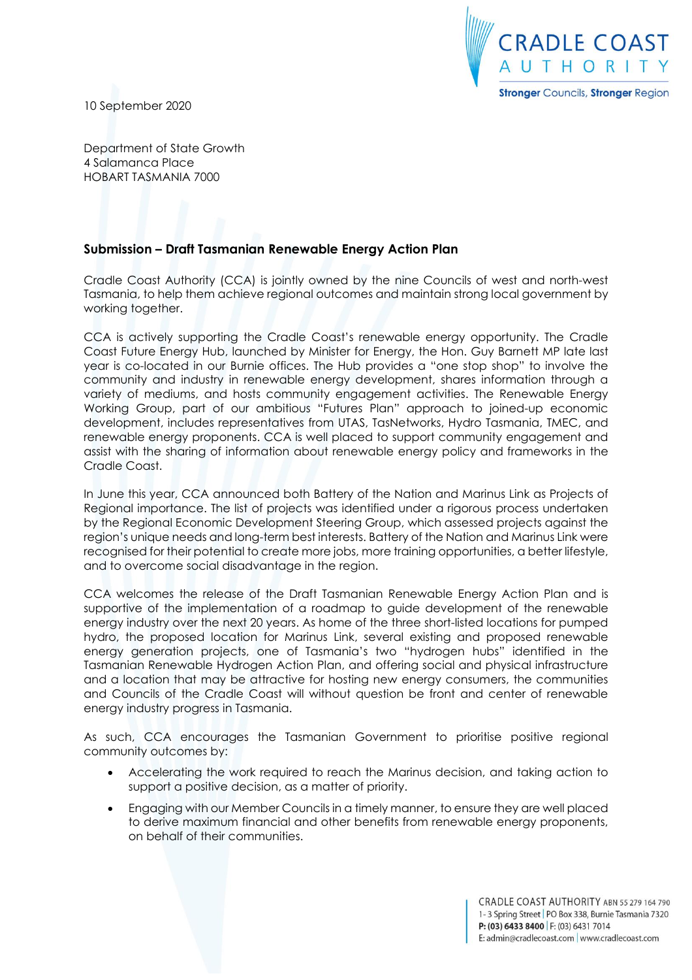

10 September 2020

Department of State Growth 4 Salamanca Place HOBART TASMANIA 7000

## **Submission – Draft Tasmanian Renewable Energy Action Plan**

Cradle Coast Authority (CCA) is jointly owned by the nine Councils of west and north-west Tasmania, to help them achieve regional outcomes and maintain strong local government by working together.

CCA is actively supporting the Cradle Coast's renewable energy opportunity. The Cradle Coast Future Energy Hub, launched by Minister for Energy, the Hon. Guy Barnett MP late last year is co-located in our Burnie offices. The Hub provides a "one stop shop" to involve the community and industry in renewable energy development, shares information through a variety of mediums, and hosts community engagement activities. The Renewable Energy Working Group, part of our ambitious "Futures Plan" approach to joined-up economic development, includes representatives from UTAS, TasNetworks, Hydro Tasmania, TMEC, and renewable energy proponents. CCA is well placed to support community engagement and assist with the sharing of information about renewable energy policy and frameworks in the Cradle Coast.

In June this year, CCA announced both Battery of the Nation and Marinus Link as Projects of Regional importance. The list of projects was identified under a rigorous process undertaken by the Regional Economic Development Steering Group, which assessed projects against the region's unique needs and long-term best interests. Battery of the Nation and Marinus Link were recognised for their potential to create more jobs, more training opportunities, a better lifestyle, and to overcome social disadvantage in the region.

CCA welcomes the release of the Draft Tasmanian Renewable Energy Action Plan and is supportive of the implementation of a roadmap to guide development of the renewable energy industry over the next 20 years. As home of the three short-listed locations for pumped hydro, the proposed location for Marinus Link, several existing and proposed renewable energy generation projects, one of Tasmania's two "hydrogen hubs" identified in the Tasmanian Renewable Hydrogen Action Plan, and offering social and physical infrastructure and a location that may be attractive for hosting new energy consumers, the communities and Councils of the Cradle Coast will without question be front and center of renewable energy industry progress in Tasmania.

As such, CCA encourages the Tasmanian Government to prioritise positive regional community outcomes by:

- Accelerating the work required to reach the Marinus decision, and taking action to support a positive decision, as a matter of priority.
- Engaging with our Member Councils in a timely manner, to ensure they are well placed to derive maximum financial and other benefits from renewable energy proponents, on behalf of their communities.